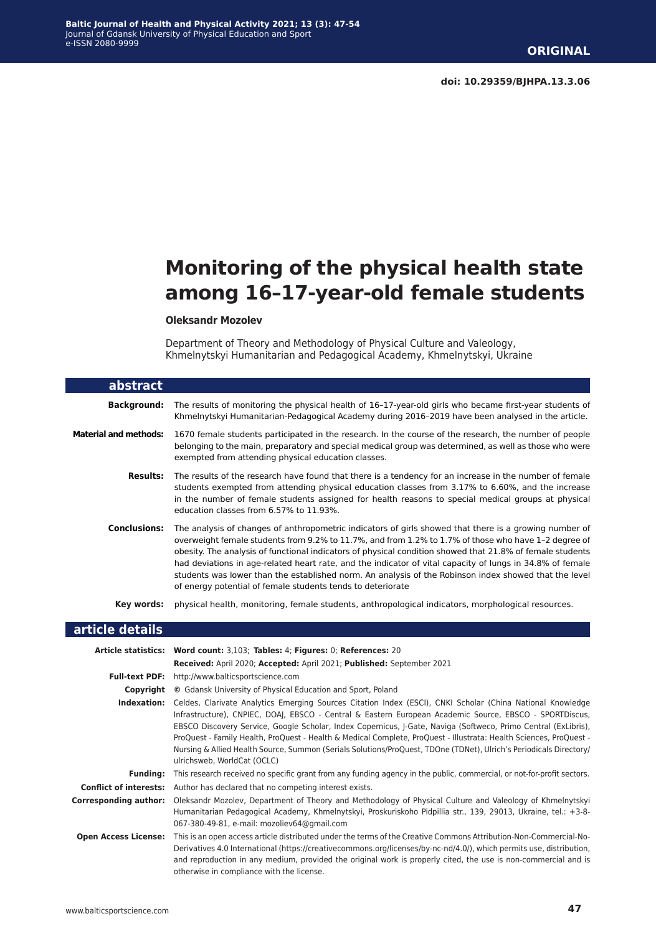# **Monitoring of the physical health state among 16–17-year-old female students**

#### **Oleksandr Mozolev**

Department of Theory and Methodology of Physical Culture and Valeology, Khmelnytskyi Humanitarian and Pedagogical Academy, Khmelnytskyi, Ukraine

| abstract                     |                                                                                                                                                                                                                                                                                                                                                                                                                                                                                                                                                                                                                  |
|------------------------------|------------------------------------------------------------------------------------------------------------------------------------------------------------------------------------------------------------------------------------------------------------------------------------------------------------------------------------------------------------------------------------------------------------------------------------------------------------------------------------------------------------------------------------------------------------------------------------------------------------------|
| <b>Background:</b>           | The results of monitoring the physical health of 16-17-year-old girls who became first-year students of<br>Khmelnytskyi Humanitarian-Pedagogical Academy during 2016-2019 have been analysed in the article.                                                                                                                                                                                                                                                                                                                                                                                                     |
| <b>Material and methods:</b> | 1670 female students participated in the research. In the course of the research, the number of people<br>belonging to the main, preparatory and special medical group was determined, as well as those who were<br>exempted from attending physical education classes.                                                                                                                                                                                                                                                                                                                                          |
| Results:                     | The results of the research have found that there is a tendency for an increase in the number of female<br>students exempted from attending physical education classes from 3.17% to 6.60%, and the increase<br>in the number of female students assigned for health reasons to special medical groups at physical<br>education classes from 6.57% to 11.93%.                                                                                                                                                                                                                                                    |
| <b>Conclusions:</b>          | The analysis of changes of anthropometric indicators of girls showed that there is a growing number of<br>overweight female students from 9.2% to 11.7%, and from 1.2% to 1.7% of those who have 1-2 degree of<br>obesity. The analysis of functional indicators of physical condition showed that 21.8% of female students<br>had deviations in age-related heart rate, and the indicator of vital capacity of lungs in 34.8% of female<br>students was lower than the established norm. An analysis of the Robinson index showed that the level<br>of energy potential of female students tends to deteriorate |
| Key words:                   | physical health, monitoring, female students, anthropological indicators, morphological resources.                                                                                                                                                                                                                                                                                                                                                                                                                                                                                                               |
| article details              |                                                                                                                                                                                                                                                                                                                                                                                                                                                                                                                                                                                                                  |
|                              | Article statistics: Word count: 3 103; Tables: 4; Eigures: 0; Peferences: 20                                                                                                                                                                                                                                                                                                                                                                                                                                                                                                                                     |

|                               | Article statistics: Word count: 3,103; Tables: 4; Figures: 0; References: 20                                                                                                                                                                                                                                                                                                                                                                                                                                                                                                                                       |
|-------------------------------|--------------------------------------------------------------------------------------------------------------------------------------------------------------------------------------------------------------------------------------------------------------------------------------------------------------------------------------------------------------------------------------------------------------------------------------------------------------------------------------------------------------------------------------------------------------------------------------------------------------------|
|                               | Received: April 2020; Accepted: April 2021; Published: September 2021                                                                                                                                                                                                                                                                                                                                                                                                                                                                                                                                              |
| <b>Full-text PDF:</b>         | http://www.balticsportscience.com                                                                                                                                                                                                                                                                                                                                                                                                                                                                                                                                                                                  |
| Copyright                     | © Gdansk University of Physical Education and Sport, Poland                                                                                                                                                                                                                                                                                                                                                                                                                                                                                                                                                        |
| Indexation:                   | Celdes, Clarivate Analytics Emerging Sources Citation Index (ESCI), CNKI Scholar (China National Knowledge<br>Infrastructure), CNPIEC, DOAI, EBSCO - Central & Eastern European Academic Source, EBSCO - SPORTDiscus,<br>EBSCO Discovery Service, Google Scholar, Index Copernicus, J-Gate, Naviga (Softweco, Primo Central (ExLibris),<br>ProQuest - Family Health, ProQuest - Health & Medical Complete, ProQuest - Illustrata: Health Sciences, ProQuest -<br>Nursing & Allied Health Source, Summon (Serials Solutions/ProQuest, TDOne (TDNet), Ulrich's Periodicals Directory/<br>ulrichsweb, WorldCat (OCLC) |
| <b>Funding:</b>               | This research received no specific grant from any funding agency in the public, commercial, or not-for-profit sectors.                                                                                                                                                                                                                                                                                                                                                                                                                                                                                             |
| <b>Conflict of interests:</b> | Author has declared that no competing interest exists.                                                                                                                                                                                                                                                                                                                                                                                                                                                                                                                                                             |
| Corresponding author:         | Oleksandr Mozolev, Department of Theory and Methodology of Physical Culture and Valeology of Khmelnytskyi<br>Humanitarian Pedagogical Academy, Khmelnytskyi, Proskuriskoho Pidpillia str., 139, 29013, Ukraine, tel.: +3-8-<br>067-380-49-81, e-mail: mozoliev64@gmail.com                                                                                                                                                                                                                                                                                                                                         |
| <b>Open Access License:</b>   | This is an open access article distributed under the terms of the Creative Commons Attribution-Non-Commercial-No-<br>Derivatives 4.0 International (https://creativecommons.org/licenses/by-nc-nd/4.0/), which permits use, distribution,<br>and reproduction in any medium, provided the original work is properly cited, the use is non-commercial and is<br>otherwise in compliance with the license.                                                                                                                                                                                                           |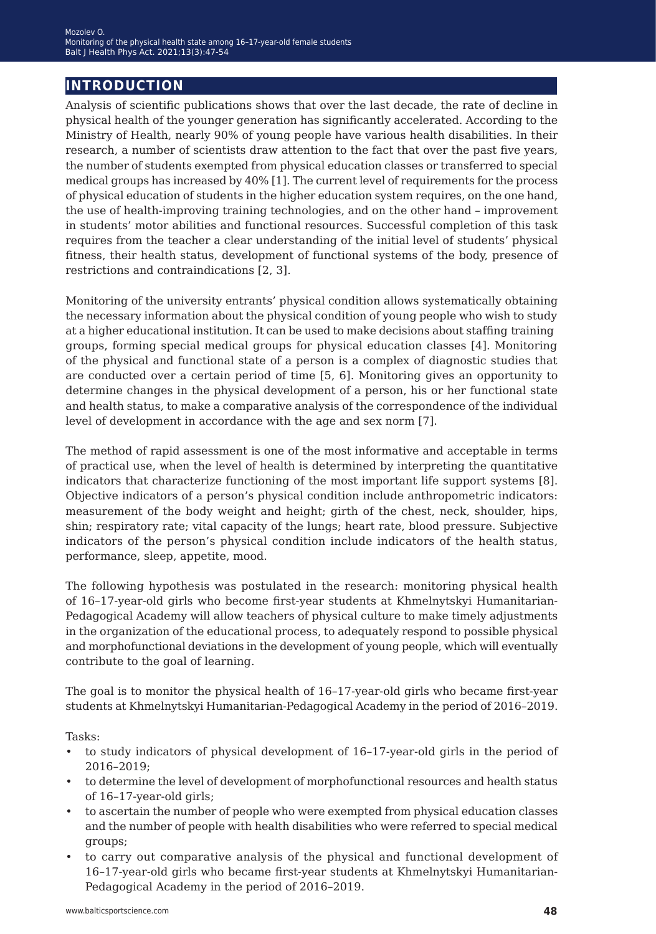# **introduction**

Analysis of scientific publications shows that over the last decade, the rate of decline in physical health of the younger generation has significantly accelerated. According to the Ministry of Health, nearly 90% of young people have various health disabilities. In their research, a number of scientists draw attention to the fact that over the past five years, the number of students exempted from physical education classes or transferred to special medical groups has increased by 40% [1]. The current level of requirements for the process of physical education of students in the higher education system requires, on the one hand, the use of health-improving training technologies, and on the other hand – improvement in students' motor abilities and functional resources. Successful completion of this task requires from the teacher a clear understanding of the initial level of students' physical fitness, their health status, development of functional systems of the body, presence of restrictions and contraindications [2, 3].

Monitoring of the university entrants' physical condition allows systematically obtaining the necessary information about the physical condition of young people who wish to study at a higher educational institution. It can be used to make decisions about staffing training groups, forming special medical groups for physical education classes [4]. Monitoring of the physical and functional state of a person is a complex of diagnostic studies that are conducted over a certain period of time [5, 6]. Monitoring gives an opportunity to determine changes in the physical development of a person, his or her functional state and health status, to make a comparative analysis of the correspondence of the individual level of development in accordance with the age and sex norm [7].

The method of rapid assessment is one of the most informative and acceptable in terms of practical use, when the level of health is determined by interpreting the quantitative indicators that characterize functioning of the most important life support systems [8]. Objective indicators of a person's physical condition include anthropometric indicators: measurement of the body weight and height; girth of the chest, neck, shoulder, hips, shin; respiratory rate; vital capacity of the lungs; heart rate, blood pressure. Subjective indicators of the person's physical condition include indicators of the health status, performance, sleep, appetite, mood.

The following hypothesis was postulated in the research: monitoring physical health of 16–17-year-old girls who become first-year students at Khmelnytskyi Humanitarian-Pedagogical Academy will allow teachers of physical culture to make timely adjustments in the organization of the educational process, to adequately respond to possible physical and morphofunctional deviations in the development of young people, which will eventually contribute to the goal of learning.

The goal is to monitor the physical health of 16–17-year-old girls who became first-year students at Khmelnytskyi Humanitarian-Pedagogical Academy in the period of 2016–2019.

Tasks:

- to study indicators of physical development of 16–17-year-old girls in the period of 2016–2019;
- to determine the level of development of morphofunctional resources and health status of 16–17-year-old girls;
- to ascertain the number of people who were exempted from physical education classes and the number of people with health disabilities who were referred to special medical groups;
- to carry out comparative analysis of the physical and functional development of 16–17-year-old girls who became first-year students at Khmelnytskyi Humanitarian-Pedagogical Academy in the period of 2016–2019.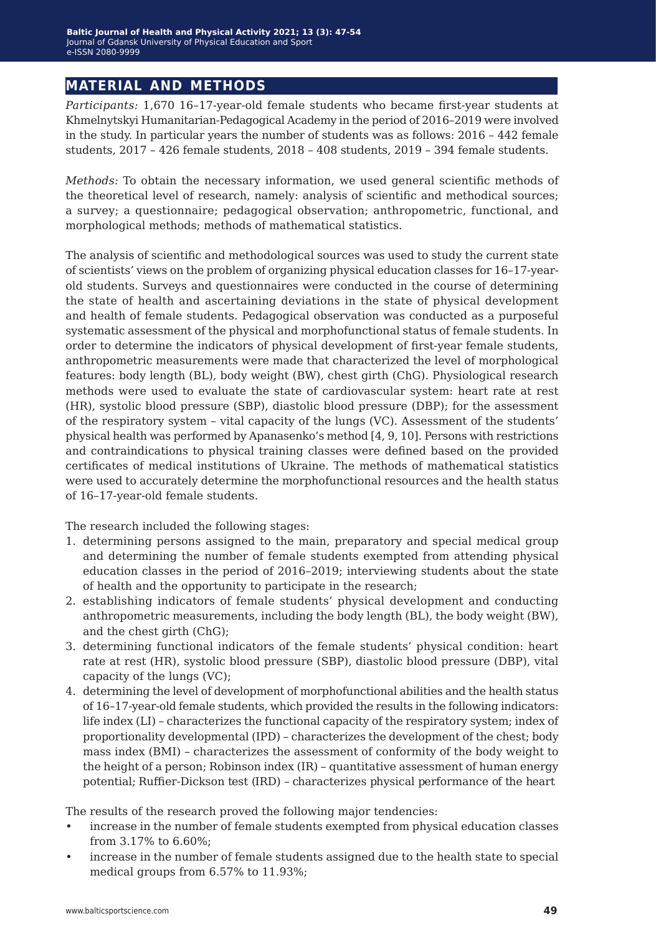# **material and methods**

*Participants:* 1,670 16–17-year-old female students who became first-year students at Khmelnytskyi Humanitarian-Pedagogical Academy in the period of 2016–2019 were involved in the study. In particular years the number of students was as follows: 2016 – 442 female students, 2017 – 426 female students, 2018 – 408 students, 2019 – 394 female students.

*Methods:* To obtain the necessary information, we used general scientific methods of the theoretical level of research, namely: analysis of scientific and methodical sources; a survey; a questionnaire; pedagogical observation; anthropometric, functional, and morphological methods; methods of mathematical statistics.

The analysis of scientific and methodological sources was used to study the current state of scientists' views on the problem of organizing physical education classes for 16–17-yearold students. Surveys and questionnaires were conducted in the course of determining the state of health and ascertaining deviations in the state of physical development and health of female students. Pedagogical observation was conducted as a purposeful systematic assessment of the physical and morphofunctional status of female students. In order to determine the indicators of physical development of first-year female students, anthropometric measurements were made that characterized the level of morphological features: body length (BL), body weight (BW), chest girth (ChG). Physiological research methods were used to evaluate the state of cardiovascular system: heart rate at rest (HR), systolic blood pressure (SBP), diastolic blood pressure (DBP); for the assessment of the respiratory system – vital capacity of the lungs (VC). Assessment of the students' physical health was performed by Apanasenko's method [4, 9, 10]. Persons with restrictions and contraindications to physical training classes were defined based on the provided certificates of medical institutions of Ukraine. The methods of mathematical statistics were used to accurately determine the morphofunctional resources and the health status of 16–17-year-old female students.

The research included the following stages:

- 1. determining persons assigned to the main, preparatory and special medical group and determining the number of female students exempted from attending physical education classes in the period of 2016–2019; interviewing students about the state of health and the opportunity to participate in the research;
- 2. establishing indicators of female students' physical development and conducting anthropometric measurements, including the body length (BL), the body weight (BW), and the chest girth (ChG);
- 3. determining functional indicators of the female students' physical condition: heart rate at rest (HR), systolic blood pressure (SBP), diastolic blood pressure (DBP), vital capacity of the lungs (VC);
- 4. determining the level of development of morphofunctional abilities and the health status of 16–17-year-old female students, which provided the results in the following indicators: life index (LI) – characterizes the functional capacity of the respiratory system; index of proportionality developmental (IPD) – characterizes the development of the chest; body mass index (BMI) – characterizes the assessment of conformity of the body weight to the height of a person; Robinson index (IR) – quantitative assessment of human energy potential; Ruffier-Dickson test (IRD) – characterizes physical performance of the heart

The results of the research proved the following major tendencies:

- increase in the number of female students exempted from physical education classes from 3.17% to 6.60%;
- increase in the number of female students assigned due to the health state to special medical groups from 6.57% to 11.93%;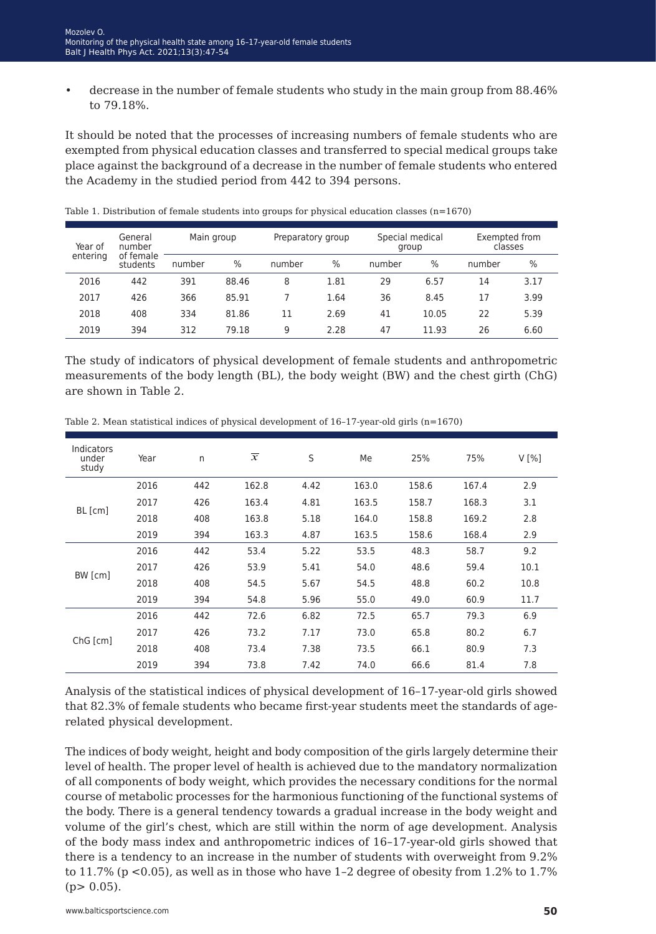• decrease in the number of female students who study in the main group from 88.46% to 79.18%.

It should be noted that the processes of increasing numbers of female students who are exempted from physical education classes and transferred to special medical groups take place against the background of a decrease in the number of female students who entered the Academy in the studied period from 442 to 394 persons.

| Year of  | General<br>number<br>of female<br>students | Main group |       | Preparatory group |      | Special medical<br>group |       | Exempted from<br>classes |      |
|----------|--------------------------------------------|------------|-------|-------------------|------|--------------------------|-------|--------------------------|------|
| entering |                                            | number     | $\%$  | number            | $\%$ | number                   | $\%$  | number                   | $\%$ |
| 2016     | 442                                        | 391        | 88.46 | 8                 | 1.81 | 29                       | 6.57  | 14                       | 3.17 |
| 2017     | 426                                        | 366        | 85.91 |                   | 1.64 | 36                       | 8.45  | 17                       | 3.99 |
| 2018     | 408                                        | 334        | 81.86 | 11                | 2.69 | 41                       | 10.05 | 22                       | 5.39 |
| 2019     | 394                                        | 312        | 79.18 | 9                 | 2.28 | 47                       | 11.93 | 26                       | 6.60 |

Table 1. Distribution of female students into groups for physical education classes (n=1670)

The study of indicators of physical development of female students and anthropometric measurements of the body length (BL), the body weight (BW) and the chest girth (ChG) are shown in Table 2.

| Indicators<br>under<br>study | Year | n   | $\overline{x}$ | S    | Me    | 25%   | 75%   | V[%] |
|------------------------------|------|-----|----------------|------|-------|-------|-------|------|
|                              | 2016 | 442 | 162.8          | 4.42 | 163.0 | 158.6 | 167.4 | 2.9  |
| BL [cm]                      | 2017 | 426 | 163.4          | 4.81 | 163.5 | 158.7 | 168.3 | 3.1  |
|                              | 2018 | 408 | 163.8          | 5.18 | 164.0 | 158.8 | 169.2 | 2.8  |
|                              | 2019 | 394 | 163.3          | 4.87 | 163.5 | 158.6 | 168.4 | 2.9  |
|                              | 2016 | 442 | 53.4           | 5.22 | 53.5  | 48.3  | 58.7  | 9.2  |
|                              | 2017 | 426 | 53.9           | 5.41 | 54.0  | 48.6  | 59.4  | 10.1 |
| BW [cm]                      | 2018 | 408 | 54.5           | 5.67 | 54.5  | 48.8  | 60.2  | 10.8 |
|                              | 2019 | 394 | 54.8           | 5.96 | 55.0  | 49.0  | 60.9  | 11.7 |
| ChG [cm]                     | 2016 | 442 | 72.6           | 6.82 | 72.5  | 65.7  | 79.3  | 6.9  |
|                              | 2017 | 426 | 73.2           | 7.17 | 73.0  | 65.8  | 80.2  | 6.7  |
|                              | 2018 | 408 | 73.4           | 7.38 | 73.5  | 66.1  | 80.9  | 7.3  |
|                              | 2019 | 394 | 73.8           | 7.42 | 74.0  | 66.6  | 81.4  | 7.8  |

Table 2. Mean statistical indices of physical development of 16–17-year-old girls (n=1670)

Analysis of the statistical indices of physical development of 16–17-year-old girls showed that 82.3% of female students who became first-year students meet the standards of agerelated physical development.

The indices of body weight, height and body composition of the girls largely determine their level of health. The proper level of health is achieved due to the mandatory normalization of all components of body weight, which provides the necessary conditions for the normal course of metabolic processes for the harmonious functioning of the functional systems of the body. There is a general tendency towards a gradual increase in the body weight and volume of the girl's chest, which are still within the norm of age development. Analysis of the body mass index and anthropometric indices of 16–17-year-old girls showed that there is a tendency to an increase in the number of students with overweight from 9.2% to  $11.7\%$  (p <0.05), as well as in those who have 1-2 degree of obesity from 1.2% to 1.7%  $(p> 0.05)$ .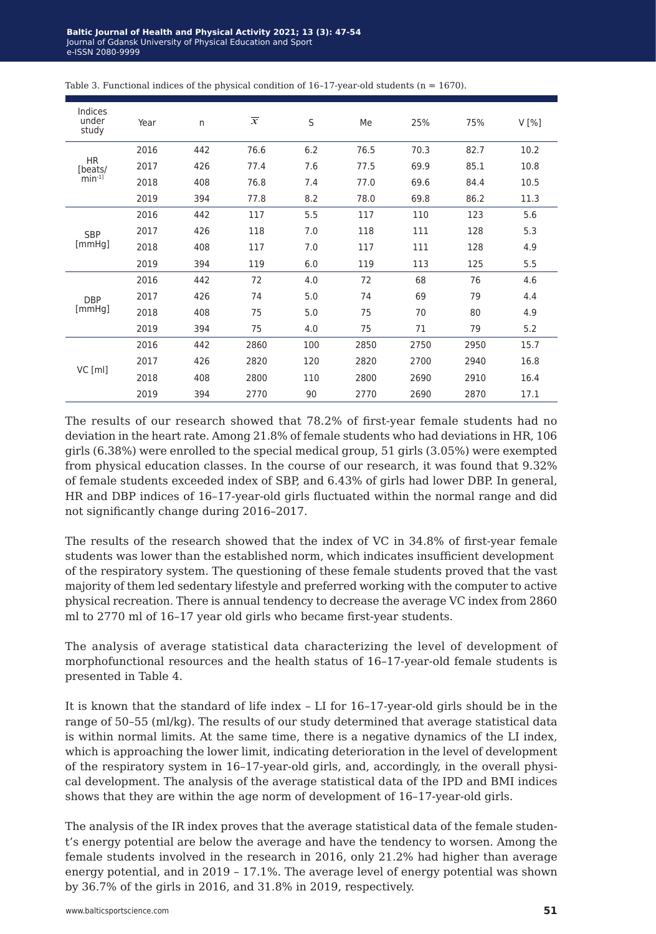| Indices<br>under<br>study | Year | n   | $\overline{x}$ | S   | Me   | 25%  | 75%  | V[%] |
|---------------------------|------|-----|----------------|-----|------|------|------|------|
|                           | 2016 | 442 | 76.6           | 6.2 | 76.5 | 70.3 | 82.7 | 10.2 |
| <b>HR</b><br>[beats/      | 2017 | 426 | 77.4           | 7.6 | 77.5 | 69.9 | 85.1 | 10.8 |
| $min^{-1}$                | 2018 | 408 | 76.8           | 7.4 | 77.0 | 69.6 | 84.4 | 10.5 |
|                           | 2019 | 394 | 77.8           | 8.2 | 78.0 | 69.8 | 86.2 | 11.3 |
|                           | 2016 | 442 | 117            | 5.5 | 117  | 110  | 123  | 5.6  |
| <b>SBP</b>                | 2017 | 426 | 118            | 7.0 | 118  | 111  | 128  | 5.3  |
| [mmHq]                    | 2018 | 408 | 117            | 7.0 | 117  | 111  | 128  | 4.9  |
|                           | 2019 | 394 | 119            | 6.0 | 119  | 113  | 125  | 5.5  |
|                           | 2016 | 442 | 72             | 4.0 | 72   | 68   | 76   | 4.6  |
| <b>DBP</b>                | 2017 | 426 | 74             | 5.0 | 74   | 69   | 79   | 4.4  |
| [mmHg]                    | 2018 | 408 | 75             | 5.0 | 75   | 70   | 80   | 4.9  |
|                           | 2019 | 394 | 75             | 4.0 | 75   | 71   | 79   | 5.2  |
| $VC$ [ml]                 | 2016 | 442 | 2860           | 100 | 2850 | 2750 | 2950 | 15.7 |
|                           | 2017 | 426 | 2820           | 120 | 2820 | 2700 | 2940 | 16.8 |
|                           | 2018 | 408 | 2800           | 110 | 2800 | 2690 | 2910 | 16.4 |
|                           | 2019 | 394 | 2770           | 90  | 2770 | 2690 | 2870 | 17.1 |

Table 3. Functional indices of the physical condition of  $16-17$ -year-old students ( $n = 1670$ ).

The results of our research showed that 78.2% of first-year female students had no deviation in the heart rate. Among 21.8% of female students who had deviations in HR, 106 girls (6.38%) were enrolled to the special medical group, 51 girls (3.05%) were exempted from physical education classes. In the course of our research, it was found that 9.32% of female students exceeded index of SBP, and 6.43% of girls had lower DBP. In general, HR and DBP indices of 16–17-year-old girls fluctuated within the normal range and did not significantly change during 2016–2017.

The results of the research showed that the index of VC in 34.8% of first-year female students was lower than the established norm, which indicates insufficient development of the respiratory system. The questioning of these female students proved that the vast majority of them led sedentary lifestyle and preferred working with the computer to active physical recreation. There is annual tendency to decrease the average VC index from 2860 ml to 2770 ml of 16–17 year old girls who became first-year students.

The analysis of average statistical data characterizing the level of development of morphofunctional resources and the health status of 16–17-year-old female students is presented in Table 4.

It is known that the standard of life index – LI for 16–17-year-old girls should be in the range of 50–55 (ml/kg). The results of our study determined that average statistical data is within normal limits. At the same time, there is a negative dynamics of the LI index, which is approaching the lower limit, indicating deterioration in the level of development of the respiratory system in 16–17-year-old girls, and, accordingly, in the overall physical development. The analysis of the average statistical data of the IPD and BMI indices shows that they are within the age norm of development of 16–17-year-old girls.

The analysis of the IR index proves that the average statistical data of the female student's energy potential are below the average and have the tendency to worsen. Among the female students involved in the research in 2016, only 21.2% had higher than average energy potential, and in 2019 – 17.1%. The average level of energy potential was shown by 36.7% of the girls in 2016, and 31.8% in 2019, respectively.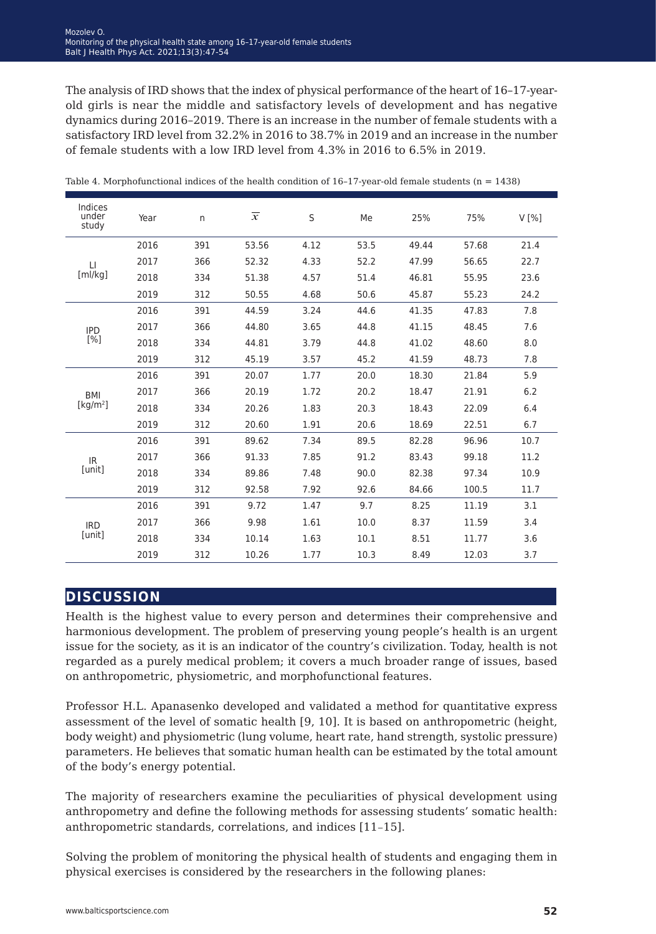The analysis of IRD shows that the index of physical performance of the heart of 16–17-yearold girls is near the middle and satisfactory levels of development and has negative dynamics during 2016–2019. There is an increase in the number of female students with a satisfactory IRD level from 32.2% in 2016 to 38.7% in 2019 and an increase in the number of female students with a low IRD level from 4.3% in 2016 to 6.5% in 2019.

| Indices<br>under<br>study    | Year | n.  | $\overline{x}$ | S    | Me   | 25%   | 75%   | V[%] |
|------------------------------|------|-----|----------------|------|------|-------|-------|------|
|                              | 2016 | 391 | 53.56          | 4.12 | 53.5 | 49.44 | 57.68 | 21.4 |
| $\Box$                       | 2017 | 366 | 52.32          | 4.33 | 52.2 | 47.99 | 56.65 | 22.7 |
| [m]/kg]                      | 2018 | 334 | 51.38          | 4.57 | 51.4 | 46.81 | 55.95 | 23.6 |
|                              | 2019 | 312 | 50.55          | 4.68 | 50.6 | 45.87 | 55.23 | 24.2 |
|                              | 2016 | 391 | 44.59          | 3.24 | 44.6 | 41.35 | 47.83 | 7.8  |
| <b>IPD</b>                   | 2017 | 366 | 44.80          | 3.65 | 44.8 | 41.15 | 48.45 | 7.6  |
| [%]                          | 2018 | 334 | 44.81          | 3.79 | 44.8 | 41.02 | 48.60 | 8.0  |
|                              | 2019 | 312 | 45.19          | 3.57 | 45.2 | 41.59 | 48.73 | 7.8  |
|                              | 2016 | 391 | 20.07          | 1.77 | 20.0 | 18.30 | 21.84 | 5.9  |
| <b>BMI</b>                   | 2017 | 366 | 20.19          | 1.72 | 20.2 | 18.47 | 21.91 | 6.2  |
| $\left[\text{kg/m}^2\right]$ | 2018 | 334 | 20.26          | 1.83 | 20.3 | 18.43 | 22.09 | 6.4  |
|                              | 2019 | 312 | 20.60          | 1.91 | 20.6 | 18.69 | 22.51 | 6.7  |
|                              | 2016 | 391 | 89.62          | 7.34 | 89.5 | 82.28 | 96.96 | 10.7 |
| IR.                          | 2017 | 366 | 91.33          | 7.85 | 91.2 | 83.43 | 99.18 | 11.2 |
| [unit]                       | 2018 | 334 | 89.86          | 7.48 | 90.0 | 82.38 | 97.34 | 10.9 |
|                              | 2019 | 312 | 92.58          | 7.92 | 92.6 | 84.66 | 100.5 | 11.7 |
|                              | 2016 | 391 | 9.72           | 1.47 | 9.7  | 8.25  | 11.19 | 3.1  |
| <b>IRD</b><br>[unit]         | 2017 | 366 | 9.98           | 1.61 | 10.0 | 8.37  | 11.59 | 3.4  |
|                              | 2018 | 334 | 10.14          | 1.63 | 10.1 | 8.51  | 11.77 | 3.6  |
|                              | 2019 | 312 | 10.26          | 1.77 | 10.3 | 8.49  | 12.03 | 3.7  |

Table 4. Morphofunctional indices of the health condition of  $16-17$ -year-old female students (n = 1438)

### **discussion**

Health is the highest value to every person and determines their comprehensive and harmonious development. The problem of preserving young people's health is an urgent issue for the society, as it is an indicator of the country's civilization. Today, health is not regarded as a purely medical problem; it covers a much broader range of issues, based on anthropometric, physiometric, and morphofunctional features.

Professor H.L. Apanasenko developed and validated a method for quantitative express assessment of the level of somatic health [9, 10]. It is based on anthropometric (height, body weight) and physiometric (lung volume, heart rate, hand strength, systolic pressure) parameters. He believes that somatic human health can be estimated by the total amount of the body's energy potential.

The majority of researchers examine the peculiarities of physical development using anthropometry and define the following methods for assessing students' somatic health: anthropometric standards, correlations, and indices [11–15].

Solving the problem of monitoring the physical health of students and engaging them in physical exercises is considered by the researchers in the following planes: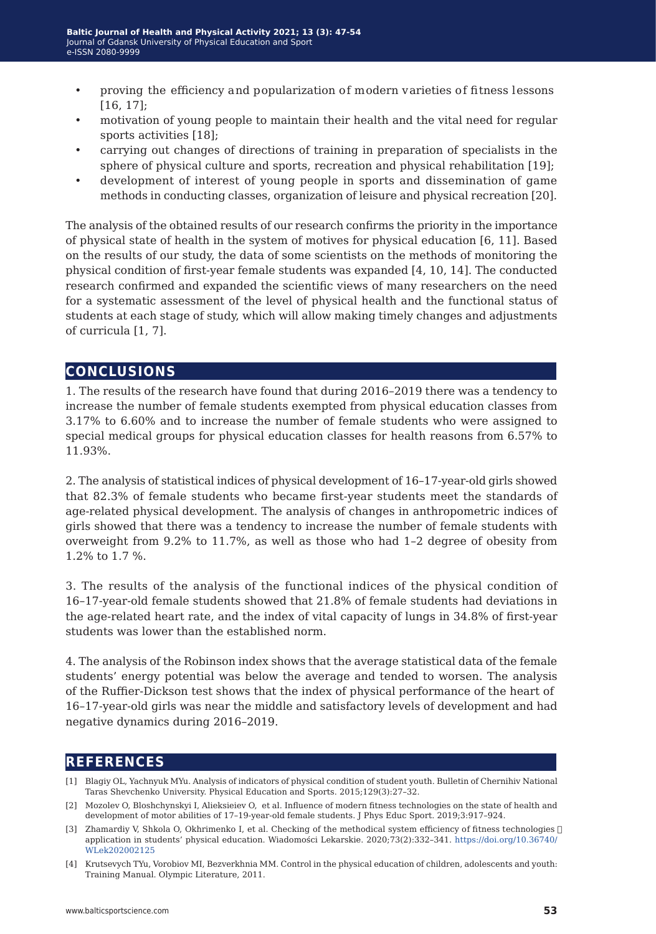- proving the efficiency and popularization of modern varieties of fitness lessons [16, 17];
- motivation of young people to maintain their health and the vital need for regular sports activities [18];
- carrying out changes of directions of training in preparation of specialists in the sphere of physical culture and sports, recreation and physical rehabilitation [19];
- development of interest of young people in sports and dissemination of game methods in conducting classes, organization of leisure and physical recreation [20].

The analysis of the obtained results of our research confirms the priority in the importance of physical state of health in the system of motives for physical education [6, 11]. Based on the results of our study, the data of some scientists on the methods of monitoring the physical condition of first-year female students was expanded [4, 10, 14]. The conducted research confirmed and expanded the scientific views of many researchers on the need for a systematic assessment of the level of physical health and the functional status of students at each stage of study, which will allow making timely changes and adjustments of curricula [1, 7].

## **conclusions**

1. The results of the research have found that during 2016–2019 there was a tendency to increase the number of female students exempted from physical education classes from 3.17% to 6.60% and to increase the number of female students who were assigned to special medical groups for physical education classes for health reasons from 6.57% to 11.93%.

2. The analysis of statistical indices of physical development of 16–17-year-old girls showed that 82.3% of female students who became first-year students meet the standards of age-related physical development. The analysis of changes in anthropometric indices of girls showed that there was a tendency to increase the number of female students with overweight from 9.2% to 11.7%, as well as those who had 1–2 degree of obesity from 1.2% to 1.7 %.

3. The results of the analysis of the functional indices of the physical condition of 16–17-year-old female students showed that 21.8% of female students had deviations in the age-related heart rate, and the index of vital capacity of lungs in 34.8% of first-year students was lower than the established norm.

4. The analysis of the Robinson index shows that the average statistical data of the female students' energy potential was below the average and tended to worsen. The analysis of the Ruffier-Dickson test shows that the index of physical performance of the heart of 16–17-year-old girls was near the middle and satisfactory levels of development and had negative dynamics during 2016–2019.

## **references**

- [1] Blagiy ОL, Yachnyuk MYu. Analysis of indicators of physical condition of student youth. Bulletin of Chernihiv National Taras Shevchenko University. Physical Education and Sports. 2015;129(3):27–32.
- [2] Mozolev O, Bloshchynskyi I, Alieksieiev O, et al. Influence of modern fitness technologies on the state of health and development of motor abilities of 17–19-year-old female students. J Phys Educ Sport. 2019;3:917–924.
- [3] Zhamardiy V, Shkola O, Okhrimenko I, et al. Checking of the methodical system efficiency of fitness technologies  $\Box$ application in students' physical education. Wiadomości Lekarskie. 2020;73(2):332–341. [https://doi.org/10.36740/](https://doi.org/10.36740/WLek202002125) [WLek202002125](https://doi.org/10.36740/WLek202002125)
- [4] Krutsevych TYu, Vorobiov MI, Bezverkhnia MM. Control in the physical education of children, adolescents and youth: Training Manual. Olympic Literature, 2011.